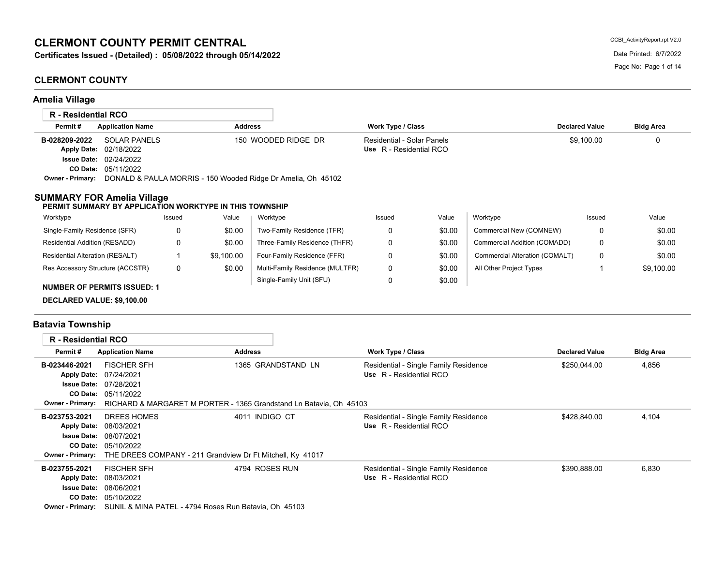# **CLERMONT COUNTY PERMIT CENTRAL**

**Certificates Issued - (Detailed) : 05/08/2022 through 05/14/2022** Date Discussed Date Printed: 6/7/2022 Date Printed: 6/7/2022

## **CLERMONT COUNTY**

**Amelia Village**

|                                   | <b>R</b> - Residential RCO                              |          |                |                                                              |                            |        |                                |                       |                  |
|-----------------------------------|---------------------------------------------------------|----------|----------------|--------------------------------------------------------------|----------------------------|--------|--------------------------------|-----------------------|------------------|
| Permit#                           | <b>Application Name</b>                                 |          | <b>Address</b> |                                                              | <b>Work Type / Class</b>   |        |                                | <b>Declared Value</b> | <b>Bldg Area</b> |
| B-028209-2022                     | <b>SOLAR PANELS</b>                                     |          |                | 150 WOODED RIDGE DR                                          | Residential - Solar Panels |        |                                | \$9.100.00            | 0                |
| <b>Apply Date:</b>                | 02/18/2022                                              |          |                |                                                              | Use R - Residential RCO    |        |                                |                       |                  |
|                                   | <b>Issue Date: 02/24/2022</b>                           |          |                |                                                              |                            |        |                                |                       |                  |
|                                   | CO Date: 05/11/2022                                     |          |                |                                                              |                            |        |                                |                       |                  |
| <b>Owner - Primary:</b>           |                                                         |          |                | DONALD & PAULA MORRIS - 150 Wooded Ridge Dr Amelia, Oh 45102 |                            |        |                                |                       |                  |
| <b>SUMMARY FOR Amelia Village</b> | PERMIT SUMMARY BY APPLICATION WORKTYPE IN THIS TOWNSHIP |          |                |                                                              |                            |        |                                |                       |                  |
| Worktype                          |                                                         | Issued   | Value          | Worktype                                                     | Issued                     | Value  | Worktype                       | Issued                | Value            |
| Single-Family Residence (SFR)     |                                                         | 0        | \$0.00         | Two-Family Residence (TFR)                                   | 0                          | \$0.00 | Commercial New (COMNEW)        | 0                     | \$0.00           |
| Residential Addition (RESADD)     |                                                         | $\Omega$ | \$0.00         | Three-Family Residence (THFR)                                | 0                          | \$0.00 | Commercial Addition (COMADD)   | 0                     | \$0.00           |
| Residential Alteration (RESALT)   |                                                         |          | \$9,100.00     | Four-Family Residence (FFR)                                  | 0                          | \$0.00 | Commercial Alteration (COMALT) | 0                     | \$0.00           |
| Res Accessory Structure (ACCSTR)  |                                                         | 0        | \$0.00         | Multi-Family Residence (MULTFR)                              | 0                          | \$0.00 | All Other Project Types        |                       | \$9.100.00       |

0

\$0.00

Single-Family Unit (SFU)

#### **NUMBER OF PERMITS ISSUED: 1**

**DECLARED VALUE: \$9,100.00**

## **Batavia Township**

| <b>R</b> - Residential RCO |                                                                             |                                                                    |                                       |                       |                  |
|----------------------------|-----------------------------------------------------------------------------|--------------------------------------------------------------------|---------------------------------------|-----------------------|------------------|
| Permit#                    | <b>Application Name</b>                                                     | <b>Address</b>                                                     | <b>Work Type / Class</b>              | <b>Declared Value</b> | <b>Bldg Area</b> |
| B-023446-2021              | <b>FISCHER SFH</b>                                                          | 1365 GRANDSTAND LN                                                 | Residential - Single Family Residence | \$250,044.00          | 4,856            |
| <b>Apply Date:</b>         | 07/24/2021                                                                  |                                                                    | Use R - Residential RCO               |                       |                  |
| <b>Issue Date:</b>         | 07/28/2021                                                                  |                                                                    |                                       |                       |                  |
| <b>CO Date:</b>            | 05/11/2022                                                                  |                                                                    |                                       |                       |                  |
| Owner - Primary:           |                                                                             | RICHARD & MARGARET M PORTER - 1365 Grandstand Ln Batavia, Oh 45103 |                                       |                       |                  |
| B-023753-2021              | DREES HOMES                                                                 | 4011 INDIGO CT                                                     | Residential - Single Family Residence | \$428,840.00          | 4,104            |
| <b>Apply Date:</b>         | 08/03/2021                                                                  |                                                                    | Use R - Residential RCO               |                       |                  |
| <b>Issue Date:</b>         | 08/07/2021                                                                  |                                                                    |                                       |                       |                  |
| <b>CO Date:</b>            | 05/10/2022                                                                  |                                                                    |                                       |                       |                  |
|                            | Owner - Primary: THE DREES COMPANY - 211 Grandview Dr Ft Mitchell, Ky 41017 |                                                                    |                                       |                       |                  |
| B-023755-2021              | <b>FISCHER SFH</b>                                                          | 4794 ROSES RUN                                                     | Residential - Single Family Residence | \$390,888.00          | 6,830            |
| <b>Apply Date:</b>         | 08/03/2021                                                                  |                                                                    | Use R - Residential RCO               |                       |                  |
| <b>Issue Date:</b>         | 08/06/2021                                                                  |                                                                    |                                       |                       |                  |
| <b>CO Date:</b>            | 05/10/2022                                                                  |                                                                    |                                       |                       |                  |
| <b>Owner - Primary:</b>    | SUNIL & MINA PATEL - 4794 Roses Run Batavia, Oh 45103                       |                                                                    |                                       |                       |                  |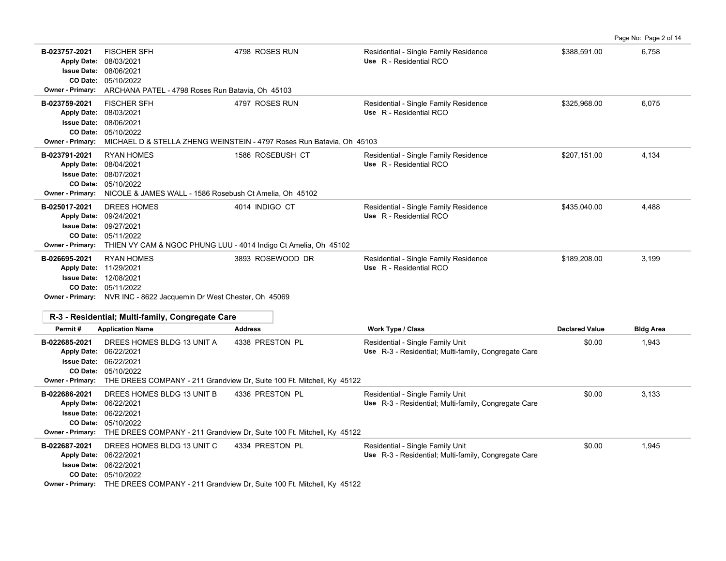|                                                                                          |                                                                                                                                                                                                                                |                                                                                         |                                                                                          |                       | Page No: Page 2 of 14 |
|------------------------------------------------------------------------------------------|--------------------------------------------------------------------------------------------------------------------------------------------------------------------------------------------------------------------------------|-----------------------------------------------------------------------------------------|------------------------------------------------------------------------------------------|-----------------------|-----------------------|
| B-023757-2021<br><b>Apply Date:</b><br><b>Issue Date:</b><br><b>Owner - Primary:</b>     | <b>FISCHER SFH</b><br>08/03/2021<br>08/06/2021<br>CO Date: 05/10/2022<br>ARCHANA PATEL - 4798 Roses Run Batavia, Oh 45103                                                                                                      | 4798 ROSES RUN                                                                          | Residential - Single Family Residence<br>Use R - Residential RCO                         | \$388,591.00          | 6,758                 |
| B-023759-2021<br><b>Apply Date:</b><br>CO Date:<br>Owner - Primary:                      | <b>FISCHER SFH</b><br>08/03/2021<br><b>Issue Date: 08/06/2021</b><br>05/10/2022                                                                                                                                                | 4797 ROSES RUN<br>MICHAEL D & STELLA ZHENG WEINSTEIN - 4797 Roses Run Batavia, Oh 45103 | Residential - Single Family Residence<br>Use R - Residential RCO                         | \$325,968.00          | 6,075                 |
| B-023791-2021<br>Apply Date: 08/04/2021<br><b>Issue Date:</b><br><b>Owner - Primary:</b> | <b>RYAN HOMES</b><br>08/07/2021<br>CO Date: 05/10/2022<br>NICOLE & JAMES WALL - 1586 Rosebush Ct Amelia, Oh 45102                                                                                                              | 1586 ROSEBUSH CT                                                                        | Residential - Single Family Residence<br>Use R - Residential RCO                         | \$207,151.00          | 4,134                 |
| B-025017-2021<br>CO Date:<br><b>Owner - Primary:</b>                                     | <b>DREES HOMES</b><br>Apply Date: 09/24/2021<br><b>Issue Date: 09/27/2021</b><br>05/11/2022<br>THIEN VY CAM & NGOC PHUNG LUU - 4014 Indigo Ct Amelia, Oh 45102                                                                 | 4014 INDIGO CT                                                                          | Residential - Single Family Residence<br>Use R - Residential RCO                         | \$435,040.00          | 4.488                 |
| B-026695-2021                                                                            | <b>RYAN HOMES</b><br>Apply Date: 11/29/2021<br><b>Issue Date: 12/08/2021</b><br>CO Date: 05/11/2022<br>Owner - Primary: NVR INC - 8622 Jacquemin Dr West Chester, Oh 45069<br>R-3 - Residential; Multi-family, Congregate Care | 3893 ROSEWOOD DR                                                                        | Residential - Single Family Residence<br>Use R - Residential RCO                         | \$189,208.00          | 3,199                 |
| Permit#                                                                                  | <b>Application Name</b>                                                                                                                                                                                                        | <b>Address</b>                                                                          | <b>Work Type / Class</b>                                                                 | <b>Declared Value</b> | <b>Bldg Area</b>      |
| B-022685-2021<br>Owner - Primary:                                                        | DREES HOMES BLDG 13 UNIT A<br>Apply Date: 06/22/2021<br><b>Issue Date: 06/22/2021</b><br>CO Date: 05/10/2022<br>THE DREES COMPANY - 211 Grandview Dr, Suite 100 Ft. Mitchell, Ky 45122                                         | 4338 PRESTON PL                                                                         | Residential - Single Family Unit<br>Use R-3 - Residential; Multi-family, Congregate Care | \$0.00                | 1,943                 |
| B-022686-2021<br>CO Date:                                                                | DREES HOMES BLDG 13 UNIT B<br>Apply Date: 06/22/2021<br><b>Issue Date: 06/22/2021</b><br>05/10/2022<br>Owner - Primary: THE DREES COMPANY - 211 Grandview Dr, Suite 100 Ft. Mitchell, Ky 45122                                 | 4336 PRESTON PL                                                                         | Residential - Single Family Unit<br>Use R-3 - Residential; Multi-family, Congregate Care | \$0.00                | 3,133                 |
| B-022687-2021<br><b>Issue Date:</b>                                                      | DREES HOMES BLDG 13 UNIT C<br>Apply Date: 06/22/2021<br>06/22/2021<br>CO Date: 05/10/2022<br><b>Owner - Primary:</b> THE DREES COMPANY - 211 Grandview Dr. Suite 100 Ft. Mitchell, Ky 45122                                    | 4334 PRESTON PL                                                                         | Residential - Single Family Unit<br>Use R-3 - Residential; Multi-family, Congregate Care | \$0.00                | 1,945                 |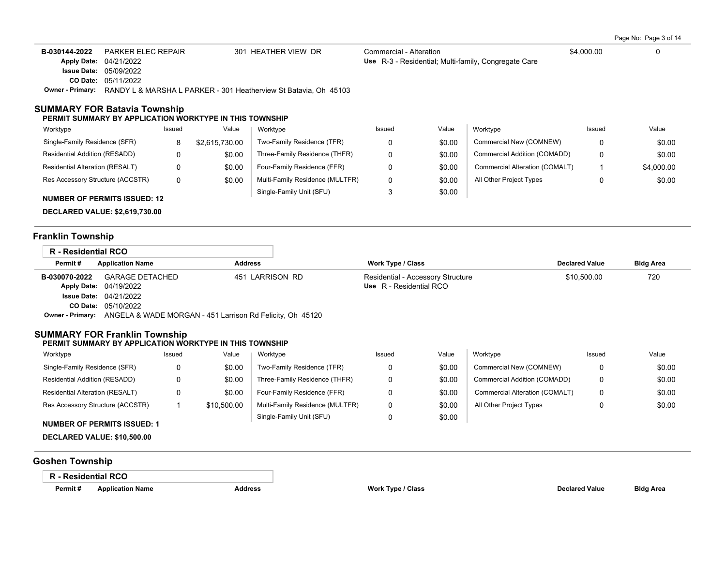Page No: Page 3 of 14

| B-030144-2022      | PARKER ELEC REPAIR                                               | 301 HEATHER VIEW DR | Commercial - Alteration                              | \$4,000.00 |  |
|--------------------|------------------------------------------------------------------|---------------------|------------------------------------------------------|------------|--|
|                    | Apply Date: 04/21/2022                                           |                     | Use R-3 - Residential: Multi-family, Congregate Care |            |  |
| <b>Issue Date:</b> | 05/09/2022                                                       |                     |                                                      |            |  |
|                    | <b>CO Date: 05/11/2022</b>                                       |                     |                                                      |            |  |
| Owner - Primarv:   | RANDY L & MARSHA L PARKER - 301 Heatherview St Batavia, Oh 45103 |                     |                                                      |            |  |

### **SUMMARY FOR Batavia Township**

#### **PERMIT SUMMARY BY APPLICATION WORKTYPE IN THIS TOWNSHIP**

| Worktype                            | Issued | Value          | Worktype                        | Issued | Value  | Worktype                       | Issued | Value      |
|-------------------------------------|--------|----------------|---------------------------------|--------|--------|--------------------------------|--------|------------|
| Single-Family Residence (SFR)       | 8      | \$2.615.730.00 | Two-Family Residence (TFR)      |        | \$0.00 | Commercial New (COMNEW)        |        | \$0.00     |
| Residential Addition (RESADD)       |        | \$0.00         | Three-Family Residence (THFR)   |        | \$0.00 | Commercial Addition (COMADD)   | 0      | \$0.00     |
| Residential Alteration (RESALT)     |        | \$0.00         | Four-Family Residence (FFR)     |        | \$0.00 | Commercial Alteration (COMALT) |        | \$4,000.00 |
| Res Accessory Structure (ACCSTR)    | 0      | \$0.00         | Multi-Family Residence (MULTFR) |        | \$0.00 | All Other Project Types        | 0      | \$0.00     |
| <b>NUMBER OF PERMITS ISSUED: 12</b> |        |                | Single-Family Unit (SFU)        |        | \$0.00 |                                |        |            |

**DECLARED VALUE: \$2,619,730.00**

## **Franklin Township**

| R - Residential RCO |                                                                            |                 |                                   |                       |                  |
|---------------------|----------------------------------------------------------------------------|-----------------|-----------------------------------|-----------------------|------------------|
| Permit#             | <b>Application Name</b>                                                    | <b>Address</b>  | Work Type / Class                 | <b>Declared Value</b> | <b>Bldg Area</b> |
| B-030070-2022       | GARAGE DETACHED                                                            | 451 LARRISON RD | Residential - Accessory Structure | \$10,500.00           | 720              |
|                     | Apply Date: 04/19/2022                                                     |                 | Use R - Residential RCO           |                       |                  |
|                     | <b>Issue Date: 04/21/2022</b>                                              |                 |                                   |                       |                  |
|                     | CO Date: 05/10/2022                                                        |                 |                                   |                       |                  |
|                     | Owner - Primary: ANGELA & WADE MORGAN - 451 Larrison Rd Felicity, Oh 45120 |                 |                                   |                       |                  |

## **SUMMARY FOR Franklin Township**

#### **PERMIT SUMMARY BY APPLICATION WORKTYPE IN THIS TOWNSHIP**

| Worktype                         | Issued | Value       | Worktype                        | Issued | Value  | Worktype                       | Issued | Value  |
|----------------------------------|--------|-------------|---------------------------------|--------|--------|--------------------------------|--------|--------|
| Single-Family Residence (SFR)    |        | \$0.00      | Two-Family Residence (TFR)      |        | \$0.00 | Commercial New (COMNEW)        | 0      | \$0.00 |
| Residential Addition (RESADD)    |        | \$0.00      | Three-Family Residence (THFR)   |        | \$0.00 | Commercial Addition (COMADD)   | 0      | \$0.00 |
| Residential Alteration (RESALT)  |        | \$0.00      | Four-Family Residence (FFR)     |        | \$0.00 | Commercial Alteration (COMALT) | 0      | \$0.00 |
| Res Accessory Structure (ACCSTR) |        | \$10,500.00 | Multi-Family Residence (MULTFR) |        | \$0.00 | All Other Project Types        |        | \$0.00 |
|                                  |        |             | Single-Family Unit (SFU)        |        | \$0.00 |                                |        |        |

### **NUMBER OF PERMITS ISSUED: 1**

**DECLARED VALUE: \$10,500.00**

## **Goshen Township**

### **R - Residential RCO**

**Permit # Application Name Address Work Type / Class Declared Value Bldg Area**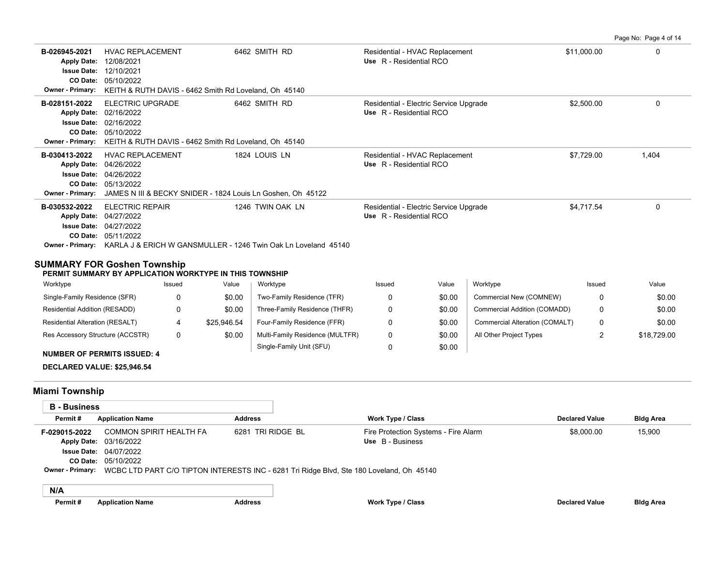**B-026945-2021** \$11,000.00 0 HVAC REPLACEMENT 6462 SMITH RD Residential - HVAC Replacement 05/10/2022 **CO Date:** 12/10/2021 **Issue Date:** Apply Date: 12/08/2021 **Apply Date: Use** R - Residential RCO **Owner - Primary:** KEITH & RUTH DAVIS - 6462 Smith Rd Loveland, Oh 45140 **B-028151-2022** ELECTRIC UPGRADE 6462 SMITH RD Residential - Electric Service Upgrade \$2,500.00 \$2,500.00 0 05/10/2022 **CO Date:** 02/16/2022 **Issue Date:** 02/16/2022 **Apply Date: Use** R - Residential RCO **Owner - Primary:** KEITH & RUTH DAVIS - 6462 Smith Rd Loveland, Oh 45140 **B-030413-2022** HVAC REPLACEMENT 1824 LOUIS LN Residential - HVAC Replacement \$7,729.00 \$7,729.00 1,404 05/13/2022 **CO Date:** 04/26/2022 **Issue Date:** 04/26/2022 **Apply Date: Use** R - Residential RCO **Owner - Primary:** JAMES N III & BECKY SNIDER - 1824 Louis Ln Goshen, Oh 45122 B-030532-2022 ELECTRIC REPAIR 1246 TWIN OAK LN Residential - Electric Service Upgrade 54,717.54 0 05/11/2022 **CO Date:** 04/27/2022 **Issue Date:** Apply Date: 04/27/2022 Residential - Electric Service Upgrade **Apply Date: Use** R - Residential RCO **Owner - Primary:** KARLA J & ERICH W GANSMULLER - 1246 Twin Oak Ln Loveland 45140

### **SUMMARY FOR Goshen Township**

**PERMIT SUMMARY BY APPLICATION WORKTYPE IN THIS TOWNSHIP**

| Worktype                         | Issued | Value       | Worktype                        | Issued | Value  | Worktype                       | Issued | Value       |
|----------------------------------|--------|-------------|---------------------------------|--------|--------|--------------------------------|--------|-------------|
| Single-Family Residence (SFR)    |        | \$0.00      | Two-Family Residence (TFR)      |        | \$0.00 | Commercial New (COMNEW)        | 0      | \$0.00      |
| Residential Addition (RESADD)    |        | \$0.00      | Three-Family Residence (THFR)   |        | \$0.00 | Commercial Addition (COMADD)   | 0      | \$0.00      |
| Residential Alteration (RESALT)  |        | \$25.946.54 | Four-Family Residence (FFR)     |        | \$0.00 | Commercial Alteration (COMALT) | 0      | \$0.00      |
| Res Accessory Structure (ACCSTR) |        | \$0.00      | Multi-Family Residence (MULTFR) |        | \$0.00 | All Other Project Types        |        | \$18,729.00 |
|                                  |        |             | Single-Family Unit (SFU)        |        | \$0.00 |                                |        |             |

# **NUMBER OF PERMITS ISSUED: 4**

**DECLARED VALUE: \$25,946.54**

### **Miami Township**

| <b>B</b> - Business |                                                                                          |                   |                                      |                       |                  |  |
|---------------------|------------------------------------------------------------------------------------------|-------------------|--------------------------------------|-----------------------|------------------|--|
| Permit#             | <b>Application Name</b>                                                                  | <b>Address</b>    | <b>Work Type / Class</b>             | <b>Declared Value</b> | <b>Bldg Area</b> |  |
| F-029015-2022       | COMMON SPIRIT HEALTH FA                                                                  | 6281 TRI RIDGE BL | Fire Protection Systems - Fire Alarm | \$8.000.00            | 15.900           |  |
|                     | <b>Apply Date: 03/16/2022</b>                                                            |                   | Use B - Business                     |                       |                  |  |
|                     | <b>Issue Date: 04/07/2022</b>                                                            |                   |                                      |                       |                  |  |
|                     | CO Date: 05/10/2022                                                                      |                   |                                      |                       |                  |  |
| Owner - Primary:    | WCBC LTD PART C/O TIPTON INTERESTS INC - 6281 Tri Ridge Blvd, Ste 180 Loveland, Oh 45140 |                   |                                      |                       |                  |  |
|                     |                                                                                          |                   |                                      |                       |                  |  |

|--|

Page No: Page 4 of 14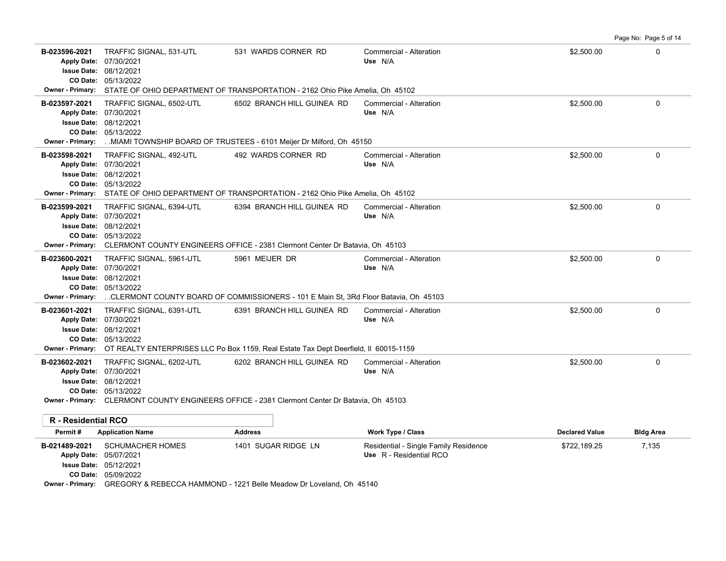| B-023596-2021<br><b>Apply Date:</b><br><b>Issue Date:</b>           | TRAFFIC SIGNAL, 531-UTL<br>07/30/2021<br>08/12/2021<br>CO Date: 05/13/2022                                | 531 WARDS CORNER RD<br>Owner - Primary: STATE OF OHIO DEPARTMENT OF TRANSPORTATION - 2162 Ohio Pike Amelia, Oh 45102                | Commercial - Alteration<br>Use N/A                               | \$2,500.00            | 0                |
|---------------------------------------------------------------------|-----------------------------------------------------------------------------------------------------------|-------------------------------------------------------------------------------------------------------------------------------------|------------------------------------------------------------------|-----------------------|------------------|
| B-023597-2021<br><b>Issue Date:</b><br>CO Date:<br>Owner - Primary: | TRAFFIC SIGNAL, 6502-UTL<br>Apply Date: 07/30/2021<br>08/12/2021<br>05/13/2022                            | 6502 BRANCH HILL GUINEA RD<br>MIAMI TOWNSHIP BOARD OF TRUSTEES - 6101 Meijer Dr Milford, Oh 45150                                   | Commercial - Alteration<br>Use N/A                               | \$2,500.00            | $\Omega$         |
| B-023598-2021                                                       | TRAFFIC SIGNAL, 492-UTL<br>Apply Date: 07/30/2021<br><b>Issue Date: 08/12/2021</b><br>CO Date: 05/13/2022 | 492 WARDS CORNER RD<br>Owner - Primary: STATE OF OHIO DEPARTMENT OF TRANSPORTATION - 2162 Ohio Pike Amelia, Oh 45102                | Commercial - Alteration<br>Use N/A                               | \$2,500.00            | 0                |
| B-023599-2021<br><b>Issue Date:</b>                                 | TRAFFIC SIGNAL, 6394-UTL<br>Apply Date: 07/30/2021<br>08/12/2021<br>CO Date: 05/13/2022                   | 6394 BRANCH HILL GUINEA RD<br>Owner - Primary: CLERMONT COUNTY ENGINEERS OFFICE - 2381 Clermont Center Dr Batavia, Oh 45103         | Commercial - Alteration<br>Use N/A                               | \$2,500.00            | 0                |
| B-023600-2021<br>CO Date:<br>Owner - Primary:                       | TRAFFIC SIGNAL, 5961-UTL<br>Apply Date: 07/30/2021<br><b>Issue Date: 08/12/2021</b><br>05/13/2022         | 5961 MEIJER DR<br>CLERMONT COUNTY BOARD OF COMMISSIONERS - 101 E Main St, 3Rd Floor Batavia, Oh 45103.                              | Commercial - Alteration<br>Use N/A                               | \$2,500.00            | 0                |
| B-023601-2021<br><b>Issue Date:</b><br>CO Date:                     | TRAFFIC SIGNAL, 6391-UTL<br>Apply Date: 07/30/2021<br>08/12/2021<br>05/13/2022                            | 6391 BRANCH HILL GUINEA RD<br>Owner - Primary: OT REALTY ENTERPRISES LLC Po Box 1159, Real Estate Tax Dept Deerfield, II 60015-1159 | Commercial - Alteration<br>Use N/A                               | \$2,500.00            | 0                |
| B-023602-2021<br><b>Issue Date:</b>                                 | TRAFFIC SIGNAL, 6202-UTL<br>Apply Date: 07/30/2021<br>08/12/2021<br>CO Date: 05/13/2022                   | 6202 BRANCH HILL GUINEA RD<br>Owner - Primary: CLERMONT COUNTY ENGINEERS OFFICE - 2381 Clermont Center Dr Batavia, Oh 45103         | Commercial - Alteration<br>Use N/A                               | \$2,500.00            | 0                |
| R - Residential RCO                                                 |                                                                                                           |                                                                                                                                     |                                                                  |                       |                  |
| Permit#                                                             | <b>Application Name</b>                                                                                   | <b>Address</b>                                                                                                                      | Work Type / Class                                                | <b>Declared Value</b> | <b>Bldg Area</b> |
| B-021489-2021<br><b>Apply Date:</b>                                 | <b>SCHUMACHER HOMES</b><br>05/07/2021<br><b>Issue Date: 05/12/2021</b><br>CO Date: 05/09/2022             | 1401 SUGAR RIDGE LN                                                                                                                 | Residential - Single Family Residence<br>Use R - Residential RCO | \$722,189.25          | 7,135            |

Page No: Page 5 of 14

**Owner - Primary:** GREGORY & REBECCA HAMMOND - 1221 Belle Meadow Dr Loveland, Oh 45140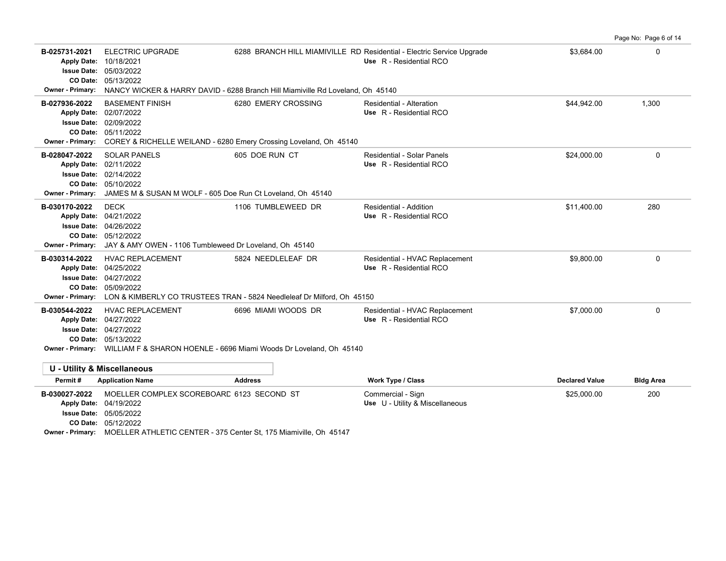|                                                                                              |                                                                                                                                                                                         |                                                                                                            |                                                                                                  |                       | Page No: Page 6 of 14 |
|----------------------------------------------------------------------------------------------|-----------------------------------------------------------------------------------------------------------------------------------------------------------------------------------------|------------------------------------------------------------------------------------------------------------|--------------------------------------------------------------------------------------------------|-----------------------|-----------------------|
| B-025731-2021<br>Apply Date: 10/18/2021<br><b>Owner - Primary:</b>                           | <b>ELECTRIC UPGRADE</b><br><b>Issue Date: 05/03/2022</b><br>CO Date: 05/13/2022                                                                                                         | NANCY WICKER & HARRY DAVID - 6288 Branch Hill Miamiville Rd Loveland, Oh 45140                             | 6288 BRANCH HILL MIAMIVILLE RD Residential - Electric Service Upgrade<br>Use R - Residential RCO | \$3,684.00            | 0                     |
|                                                                                              |                                                                                                                                                                                         |                                                                                                            |                                                                                                  |                       |                       |
| B-027936-2022<br>Apply Date: 02/07/2022<br>Issue Date: 02/09/2022<br><b>Owner - Primary:</b> | <b>BASEMENT FINISH</b><br>CO Date: 05/11/2022                                                                                                                                           | 6280 EMERY CROSSING<br>COREY & RICHELLE WEILAND - 6280 Emery Crossing Loveland, Oh 45140                   | Residential - Alteration<br>Use R - Residential RCO                                              | \$44,942.00           | 1,300                 |
| B-028047-2022<br>Apply Date: 02/11/2022<br><b>Owner - Primary:</b>                           | <b>SOLAR PANELS</b><br><b>Issue Date: 02/14/2022</b><br>CO Date: 05/10/2022<br>JAMES M & SUSAN M WOLF - 605 Doe Run Ct Loveland, Oh 45140                                               | 605 DOE RUN CT                                                                                             | Residential - Solar Panels<br>Use R - Residential RCO                                            | \$24.000.00           | $\Omega$              |
| B-030170-2022<br>Apply Date: 04/21/2022<br><b>Owner - Primary:</b>                           | <b>DECK</b><br><b>Issue Date: 04/26/2022</b><br>CO Date: 05/12/2022<br>JAY & AMY OWEN - 1106 Tumbleweed Dr Loveland, Oh 45140                                                           | 1106 TUMBLEWEED DR                                                                                         | Residential - Addition<br>Use R - Residential RCO                                                | \$11,400.00           | 280                   |
| B-030314-2022<br>Apply Date: 04/25/2022<br><b>Owner - Primary:</b>                           | <b>HVAC REPLACEMENT</b><br><b>Issue Date: 04/27/2022</b><br>CO Date: 05/09/2022                                                                                                         | 5824 NEEDLELEAF DR<br>LON & KIMBERLY CO TRUSTEES TRAN - 5824 Needleleaf Dr Milford, Oh 45150               | Residential - HVAC Replacement<br>Use R - Residential RCO                                        | \$9,800.00            | $\mathbf 0$           |
| B-030544-2022<br>Apply Date: 04/27/2022                                                      | <b>HVAC REPLACEMENT</b><br><b>Issue Date: 04/27/2022</b><br>CO Date: 05/13/2022                                                                                                         | 6696 MIAMI WOODS DR<br>Owner - Primary: WILLIAM F & SHARON HOENLE - 6696 Miami Woods Dr Loveland, Oh 45140 | Residential - HVAC Replacement<br>Use R - Residential RCO                                        | \$7,000.00            | 0                     |
| <b>U - Utility &amp; Miscellaneous</b>                                                       |                                                                                                                                                                                         |                                                                                                            |                                                                                                  |                       |                       |
| Permit#                                                                                      | <b>Application Name</b>                                                                                                                                                                 | <b>Address</b>                                                                                             | Work Type / Class                                                                                | <b>Declared Value</b> | <b>Bldg Area</b>      |
| B-030027-2022<br>Apply Date: 04/19/2022                                                      | MOELLER COMPLEX SCOREBOARD 6123 SECOND ST<br><b>Issue Date: 05/05/2022</b><br>CO Date: 05/12/2022<br>Owner - Primary: MOELLER ATHLETIC CENTER - 375 Center St, 175 Miamiville, Oh 45147 |                                                                                                            | Commercial - Sign<br>Use U - Utility & Miscellaneous                                             | \$25,000.00           | 200                   |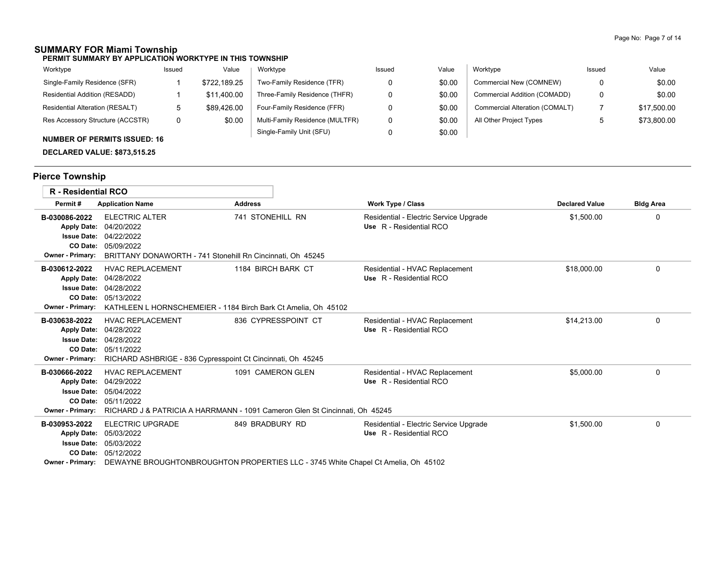## **SUMMARY FOR Miami Township**

**PERMIT SUMMARY BY APPLICATION WORKTYPE IN THIS TOWNSHIP**

| Worktype                               | Issued | Value        | Worktype                        | Issued | Value  | Worktype                       | Issued | Value       |
|----------------------------------------|--------|--------------|---------------------------------|--------|--------|--------------------------------|--------|-------------|
| Single-Family Residence (SFR)          |        | \$722.189.25 | Two-Family Residence (TFR)      |        | \$0.00 | Commercial New (COMNEW)        |        | \$0.00      |
| Residential Addition (RESADD)          |        | \$11.400.00  | Three-Family Residence (THFR)   |        | \$0.00 | Commercial Addition (COMADD)   |        | \$0.00      |
| <b>Residential Alteration (RESALT)</b> | ັບ     | \$89.426.00  | Four-Family Residence (FFR)     |        | \$0.00 | Commercial Alteration (COMALT) |        | \$17,500.00 |
| Res Accessory Structure (ACCSTR)       | 0      | \$0.00       | Multi-Family Residence (MULTFR) |        | \$0.00 | All Other Project Types        |        | \$73,800.00 |
|                                        |        |              | Single-Family Unit (SFU)        |        | \$0.00 |                                |        |             |

### **NUMBER OF PERMITS ISSUED: 16**

**DECLARED VALUE: \$873,515.25**

# **Pierce Township**

| <b>R</b> - Residential RCO                                                                       |                                                                                                                                                              |                                                                                                      |                                                                   |                       |                  |
|--------------------------------------------------------------------------------------------------|--------------------------------------------------------------------------------------------------------------------------------------------------------------|------------------------------------------------------------------------------------------------------|-------------------------------------------------------------------|-----------------------|------------------|
| Permit#                                                                                          | <b>Application Name</b>                                                                                                                                      | <b>Address</b>                                                                                       | <b>Work Type / Class</b>                                          | <b>Declared Value</b> | <b>Bldg Area</b> |
| B-030086-2022<br><b>Apply Date:</b><br>CO Date:<br><b>Owner - Primary:</b>                       | <b>ELECTRIC ALTER</b><br>04/20/2022<br><b>Issue Date: 04/22/2022</b><br>05/09/2022<br>BRITTANY DONAWORTH - 741 Stonehill Rn Cincinnati, Oh 45245             | 741 STONEHILL RN                                                                                     | Residential - Electric Service Upgrade<br>Use R - Residential RCO | \$1,500.00            | 0                |
| B-030612-2022<br><b>Apply Date:</b><br><b>Issue Date:</b><br>CO Date:<br><b>Owner - Primary:</b> | <b>HVAC REPLACEMENT</b><br>04/28/2022<br>04/28/2022<br>05/13/2022<br>KATHLEEN L HORNSCHEMEIER - 1184 Birch Bark Ct Amelia, Oh 45102                          | 1184 BIRCH BARK CT                                                                                   | Residential - HVAC Replacement<br>Use R - Residential RCO         | \$18,000.00           | 0                |
| B-030638-2022<br><b>Apply Date:</b><br><b>Owner - Primary:</b>                                   | <b>HVAC REPLACEMENT</b><br>04/28/2022<br><b>Issue Date: 04/28/2022</b><br>CO Date: 05/11/2022<br>RICHARD ASHBRIGE - 836 Cypresspoint Ct Cincinnati, Oh 45245 | 836 CYPRESSPOINT CT                                                                                  | Residential - HVAC Replacement<br>Use R - Residential RCO         | \$14.213.00           | 0                |
| B-030666-2022<br><b>Apply Date:</b><br><b>Issue Date:</b><br><b>Owner - Primary:</b>             | <b>HVAC REPLACEMENT</b><br>04/29/2022<br>05/04/2022<br>CO Date: 05/11/2022                                                                                   | 1091 CAMERON GLEN<br>RICHARD J & PATRICIA A HARRMANN - 1091 Cameron Glen St Cincinnati. Oh 45245     | Residential - HVAC Replacement<br>Use R - Residential RCO         | \$5,000.00            | 0                |
| B-030953-2022<br><b>Apply Date:</b><br><b>Issue Date:</b><br>CO Date:<br><b>Owner - Primary:</b> | <b>ELECTRIC UPGRADE</b><br>05/03/2022<br>05/03/2022<br>05/12/2022                                                                                            | 849 BRADBURY RD<br>DEWAYNE BROUGHTONBROUGHTON PROPERTIES LLC - 3745 White Chapel Ct Amelia, Oh 45102 | Residential - Electric Service Upgrade<br>Use R - Residential RCO | \$1,500.00            | 0                |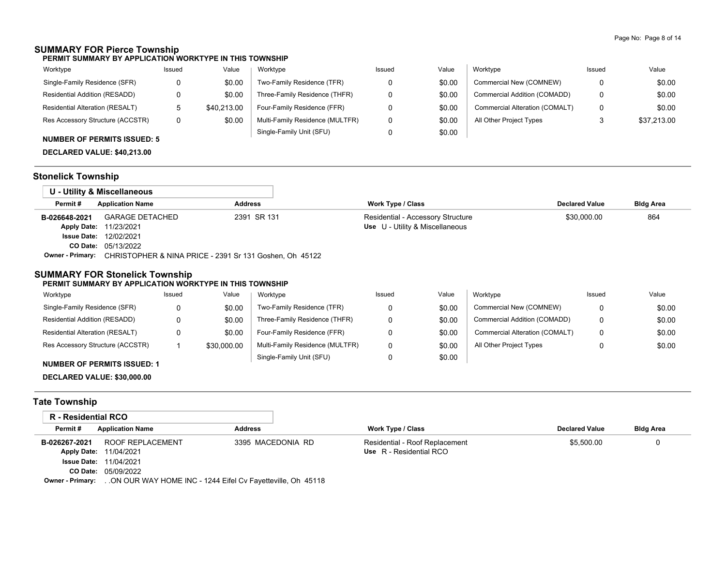## **SUMMARY FOR Pierce Township**

**PERMIT SUMMARY BY APPLICATION WORKTYPE IN THIS TOWNSHIP**

| Worktype                         | Issued | Value       | Worktype                        | Issued | Value  | Worktype                       | Issued | Value       |
|----------------------------------|--------|-------------|---------------------------------|--------|--------|--------------------------------|--------|-------------|
| Single-Family Residence (SFR)    |        | \$0.00      | Two-Family Residence (TFR)      |        | \$0.00 | Commercial New (COMNEW)        | 0      | \$0.00      |
| Residential Addition (RESADD)    |        | \$0.00      | Three-Family Residence (THFR)   |        | \$0.00 | Commercial Addition (COMADD)   | 0      | \$0.00      |
| Residential Alteration (RESALT)  |        | \$40.213.00 | Four-Family Residence (FFR)     |        | \$0.00 | Commercial Alteration (COMALT) | 0      | \$0.00      |
| Res Accessory Structure (ACCSTR) | 0      | \$0.00      | Multi-Family Residence (MULTFR) |        | \$0.00 | All Other Project Types        |        | \$37,213.00 |
|                                  |        |             | Single-Family Unit (SFU)        |        | \$0.00 |                                |        |             |

## **NUMBER OF PERMITS ISSUED: 5**

**DECLARED VALUE: \$40,213.00**

# **Stonelick Township**

| U - Utility & Miscellaneous |                                                         |             |                                   |                       |                  |
|-----------------------------|---------------------------------------------------------|-------------|-----------------------------------|-----------------------|------------------|
| Permit#                     | <b>Application Name</b>                                 | Address     | Work Type / Class                 | <b>Declared Value</b> | <b>Bldg Area</b> |
| B-026648-2021               | <b>GARAGE DETACHED</b>                                  | 2391 SR 131 | Residential - Accessory Structure | \$30,000.00           | 864              |
|                             | Apply Date: 11/23/2021                                  |             | Use U - Utility & Miscellaneous   |                       |                  |
|                             | <b>Issue Date: 12/02/2021</b>                           |             |                                   |                       |                  |
|                             | <b>CO Date: 05/13/2022</b>                              |             |                                   |                       |                  |
| <b>Owner - Primary:</b>     | CHRISTOPHER & NINA PRICE - 2391 Sr 131 Goshen, Oh 45122 |             |                                   |                       |                  |

### **SUMMARY FOR Stonelick Township**

#### **PERMIT SUMMARY BY APPLICATION WORKTYPE IN THIS TOWNSHIP**

| Worktype                         | Issued | Value       | Worktype                        | Issued | Value  | Worktype                       | Issued | Value  |
|----------------------------------|--------|-------------|---------------------------------|--------|--------|--------------------------------|--------|--------|
| Single-Family Residence (SFR)    | 0      | \$0.00      | Two-Family Residence (TFR)      |        | \$0.00 | Commercial New (COMNEW)        | 0      | \$0.00 |
| Residential Addition (RESADD)    | 0      | \$0.00      | Three-Family Residence (THFR)   |        | \$0.00 | Commercial Addition (COMADD)   | 0      | \$0.00 |
| Residential Alteration (RESALT)  | 0      | \$0.00      | Four-Family Residence (FFR)     |        | \$0.00 | Commercial Alteration (COMALT) | 0      | \$0.00 |
| Res Accessory Structure (ACCSTR) |        | \$30,000.00 | Multi-Family Residence (MULTFR) |        | \$0.00 | All Other Project Types        |        | \$0.00 |
|                                  |        |             | Single-Family Unit (SFU)        |        | \$0.00 |                                |        |        |

### **NUMBER OF PERMITS ISSUED: 1**

**DECLARED VALUE: \$30,000.00**

## **Tate Township**

| R - Residential RCO |                                                                                                                                                                                                     |                   |                                |                       |                  |
|---------------------|-----------------------------------------------------------------------------------------------------------------------------------------------------------------------------------------------------|-------------------|--------------------------------|-----------------------|------------------|
| Permit#             | <b>Application Name</b>                                                                                                                                                                             | <b>Address</b>    | Work Type / Class              | <b>Declared Value</b> | <b>Bldg Area</b> |
| B-026267-2021       | ROOF REPLACEMENT                                                                                                                                                                                    | 3395 MACEDONIA RD | Residential - Roof Replacement | \$5,500.00            |                  |
| <b>Apply Date:</b>  | 11/04/2021                                                                                                                                                                                          |                   | Use R - Residential RCO        |                       |                  |
| <b>Issue Date:</b>  | 11/04/2021                                                                                                                                                                                          |                   |                                |                       |                  |
| CO Date:            | 05/09/2022                                                                                                                                                                                          |                   |                                |                       |                  |
| Owner Drimony       | $OMOMIN$ $MAYHOMENOR$ $1100$ $1244$ $F$ $f_{\alpha}$ $f_{\alpha}$ $f_{\alpha}$ $f_{\alpha}$ $f_{\alpha}$ $f_{\alpha}$ $f_{\alpha}$ $f_{\alpha}$ $f_{\alpha}$ $f_{\alpha}$ $f_{\alpha}$ $f_{\alpha}$ |                   |                                |                       |                  |

**Owner - Primary:** . .ON OUR WAY HOME INC - 1244 Eifel Cv Fayetteville, Oh 45118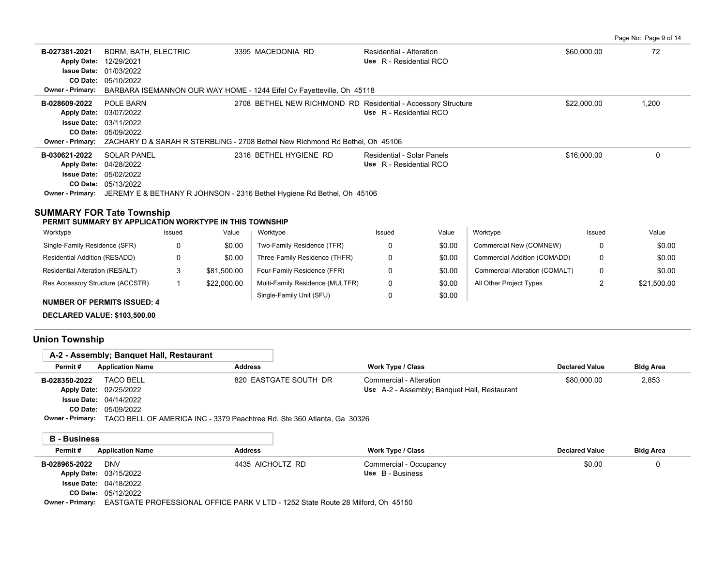Page No: Page 9 of 14

| B-027381-2021<br><b>Apply Date:</b><br><b>Issue Date:</b> | <b>BDRM, BATH, ELECTRIC</b><br>12/29/2021<br>01/03/2022                                       | 3395 MACEDONIA RD                                                     | Residential - Alteration<br>Use R - Residential RCO | \$60,000.00 | 72    |
|-----------------------------------------------------------|-----------------------------------------------------------------------------------------------|-----------------------------------------------------------------------|-----------------------------------------------------|-------------|-------|
|                                                           | <b>CO Date: 05/10/2022</b>                                                                    |                                                                       |                                                     |             |       |
|                                                           |                                                                                               |                                                                       |                                                     |             |       |
| Owner - Primary:                                          |                                                                                               | BARBARA ISEMANNON OUR WAY HOME - 1244 Eifel Cv Fayetteville, Oh 45118 |                                                     |             |       |
| B-028609-2022                                             | POLE BARN                                                                                     | 2708 BETHEL NEW RICHMOND RD Residential - Accessory Structure         |                                                     | \$22,000.00 | 1,200 |
|                                                           | Apply Date: 03/07/2022                                                                        |                                                                       | Use R - Residential RCO                             |             |       |
|                                                           | <b>Issue Date: 03/11/2022</b>                                                                 |                                                                       |                                                     |             |       |
|                                                           | <b>CO Date: 05/09/2022</b>                                                                    |                                                                       |                                                     |             |       |
|                                                           | Owner - Primary: ZACHARY D & SARAH R STERBLING - 2708 Bethel New Richmond Rd Bethel, Oh 45106 |                                                                       |                                                     |             |       |
|                                                           |                                                                                               |                                                                       |                                                     |             |       |
| B-030621-2022                                             | <b>SOLAR PANEL</b>                                                                            | 2316 BETHEL HYGIENE RD                                                | Residential - Solar Panels                          | \$16,000.00 |       |
|                                                           | Apply Date: 04/28/2022                                                                        |                                                                       | Use R - Residential RCO                             |             |       |
|                                                           | <b>Issue Date: 05/02/2022</b>                                                                 |                                                                       |                                                     |             |       |
|                                                           | <b>CO Date: 05/13/2022</b>                                                                    |                                                                       |                                                     |             |       |
|                                                           | Owner - Primary: JEREMY E & BETHANY R JOHNSON - 2316 Bethel Hygiene Rd Bethel, Oh 45106       |                                                                       |                                                     |             |       |
|                                                           |                                                                                               |                                                                       |                                                     |             |       |

# **SUMMARY FOR Tate Township**

| PERMIT SUMMARY BY APPLICATION WORKTYPE IN THIS TOWNSHIP |  |
|---------------------------------------------------------|--|
|                                                         |  |

| Worktype                           | Issued | Value       | Worktype                        | Issued | Value  | Worktype                       | Issued | Value       |
|------------------------------------|--------|-------------|---------------------------------|--------|--------|--------------------------------|--------|-------------|
| Single-Family Residence (SFR)      | 0      | \$0.00      | Two-Family Residence (TFR)      |        | \$0.00 | Commercial New (COMNEW)        |        | \$0.00      |
| Residential Addition (RESADD)      | n      | \$0.00      | Three-Family Residence (THFR)   |        | \$0.00 | Commercial Addition (COMADD)   |        | \$0.00      |
| Residential Alteration (RESALT)    |        | \$81.500.00 | Four-Family Residence (FFR)     |        | \$0.00 | Commercial Alteration (COMALT) |        | \$0.00      |
| Res Accessory Structure (ACCSTR)   |        | \$22,000.00 | Multi-Family Residence (MULTFR) |        | \$0.00 | All Other Project Types        |        | \$21,500.00 |
| <b>NUMBER OF PERMITS ISSUED: 4</b> |        |             | Single-Family Unit (SFU)        |        | \$0.00 |                                |        |             |

**DECLARED VALUE: \$103,500.00**

# **Union Township**

|                     | A-2 - Assembly; Banguet Hall, Restaurant |                                                                                                 |                                              |                       |                  |
|---------------------|------------------------------------------|-------------------------------------------------------------------------------------------------|----------------------------------------------|-----------------------|------------------|
| Permit#             | <b>Application Name</b>                  | <b>Address</b>                                                                                  | Work Type / Class                            | <b>Declared Value</b> | <b>Bldg Area</b> |
| B-028350-2022       | <b>TACO BELL</b>                         | 820 EASTGATE SOUTH DR                                                                           | Commercial - Alteration                      | \$80,000.00           | 2,853            |
|                     | Apply Date: 02/25/2022                   |                                                                                                 | Use A-2 - Assembly; Banquet Hall, Restaurant |                       |                  |
|                     | <b>Issue Date: 04/14/2022</b>            |                                                                                                 |                                              |                       |                  |
|                     | CO Date: 05/09/2022                      |                                                                                                 |                                              |                       |                  |
|                     |                                          | <b>Owner - Primary:</b> TACO BELL OF AMERICA INC - 3379 Peachtree Rd, Ste 360 Atlanta, Ga 30326 |                                              |                       |                  |
|                     |                                          |                                                                                                 |                                              |                       |                  |
| <b>B</b> - Business |                                          |                                                                                                 |                                              |                       |                  |
| Permit#             | <b>Application Name</b>                  | <b>Address</b>                                                                                  | Work Type / Class                            | <b>Declared Value</b> | <b>Bldg Area</b> |
| B-028965-2022       | <b>DNV</b>                               | 4435 AICHOLTZ RD                                                                                | Commercial - Occupancy                       | \$0.00                | 0                |
|                     | Apply Date: 03/15/2022                   |                                                                                                 | Use B - Business                             |                       |                  |
|                     | <b>Issue Date: 04/18/2022</b>            |                                                                                                 |                                              |                       |                  |

**Owner - Primary:** EASTGATE PROFESSIONAL OFFICE PARK V LTD - 1252 State Route 28 Milford, Oh 45150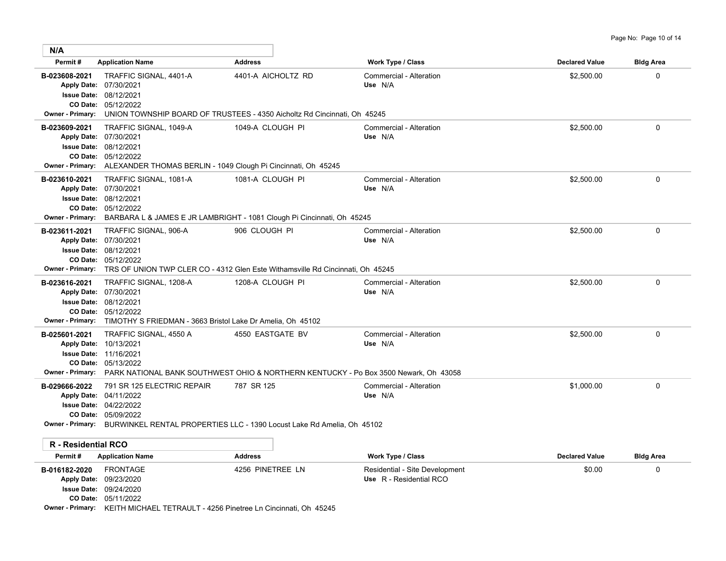| N/A                                                                |                                                                                                                                                                  |                                                                                                              |                                                           |                       |                  |
|--------------------------------------------------------------------|------------------------------------------------------------------------------------------------------------------------------------------------------------------|--------------------------------------------------------------------------------------------------------------|-----------------------------------------------------------|-----------------------|------------------|
| Permit#                                                            | <b>Application Name</b>                                                                                                                                          | <b>Address</b>                                                                                               | <b>Work Type / Class</b>                                  | <b>Declared Value</b> | <b>Bldg Area</b> |
| B-023608-2021<br>Apply Date: 07/30/2021<br><b>Owner - Primary:</b> | TRAFFIC SIGNAL, 4401-A<br><b>Issue Date: 08/12/2021</b><br>CO Date: 05/12/2022                                                                                   | 4401-A AICHOLTZ RD<br>UNION TOWNSHIP BOARD OF TRUSTEES - 4350 Aicholtz Rd Cincinnati, Oh 45245               | Commercial - Alteration<br>Use N/A                        | \$2,500.00            | 0                |
| B-023609-2021<br>Apply Date: 07/30/2021                            | TRAFFIC SIGNAL, 1049-A<br><b>Issue Date: 08/12/2021</b><br>CO Date: 05/12/2022<br>Owner - Primary: ALEXANDER THOMAS BERLIN - 1049 Clough Pi Cincinnati, Oh 45245 | 1049-A CLOUGH PI                                                                                             | Commercial - Alteration<br>Use N/A                        | \$2,500.00            | 0                |
| B-023610-2021<br>Apply Date: 07/30/2021<br><b>Owner - Primary:</b> | TRAFFIC SIGNAL, 1081-A<br>Issue Date: 08/12/2021<br>CO Date: 05/12/2022                                                                                          | 1081-A CLOUGH PI<br>BARBARA L & JAMES E JR LAMBRIGHT - 1081 Clough Pi Cincinnati, Oh 45245                   | Commercial - Alteration<br>Use N/A                        | \$2,500.00            | 0                |
| B-023611-2021<br><b>Owner - Primary:</b>                           | TRAFFIC SIGNAL, 906-A<br>Apply Date: 07/30/2021<br><b>Issue Date: 08/12/2021</b><br>CO Date: 05/12/2022                                                          | 906 CLOUGH PI<br>TRS OF UNION TWP CLER CO - 4312 Glen Este Withamsville Rd Cincinnati, Oh 45245              | Commercial - Alteration<br>Use N/A                        | \$2,500.00            | 0                |
| B-023616-2021<br>Apply Date: 07/30/2021<br><b>Owner - Primary:</b> | TRAFFIC SIGNAL, 1208-A<br><b>Issue Date: 08/12/2021</b><br>CO Date: 05/12/2022<br>TIMOTHY S FRIEDMAN - 3663 Bristol Lake Dr Amelia, Oh 45102                     | 1208-A CLOUGH PI                                                                                             | Commercial - Alteration<br>Use N/A                        | \$2,500.00            | 0                |
| B-025601-2021<br>Apply Date: 10/13/2021<br><b>Owner - Primary:</b> | TRAFFIC SIGNAL, 4550 A<br><b>Issue Date: 11/16/2021</b><br>CO Date: 05/13/2022                                                                                   | 4550 EASTGATE BV<br>PARK NATIONAL BANK SOUTHWEST OHIO & NORTHERN KENTUCKY - Po Box 3500 Newark, Oh 43058     | Commercial - Alteration<br>Use N/A                        | \$2,500.00            | $\Omega$         |
| B-029666-2022<br>Apply Date: 04/11/2022                            | 791 SR 125 ELECTRIC REPAIR<br><b>Issue Date: 04/22/2022</b><br>CO Date: 05/09/2022                                                                               | 787 SR 125<br><b>Owner - Primary:</b> BURWINKEL RENTAL PROPERTIES LLC - 1390 Locust Lake Rd Amelia, Oh 45102 | Commercial - Alteration<br>Use N/A                        | \$1,000.00            | $\Omega$         |
| <b>R</b> - Residential RCO                                         |                                                                                                                                                                  |                                                                                                              |                                                           |                       |                  |
| Permit#                                                            | <b>Application Name</b>                                                                                                                                          | <b>Address</b>                                                                                               | <b>Work Type / Class</b>                                  | <b>Declared Value</b> | <b>Bldg Area</b> |
| B-016182-2020                                                      | <b>FRONTAGE</b><br>Apply Date: 09/23/2020<br><b>Issue Date: 09/24/2020</b><br>CO Date: 05/11/2022                                                                | 4256 PINETREE LN                                                                                             | Residential - Site Development<br>Use R - Residential RCO | \$0.00                | 0                |

**Owner - Primary:** KEITH MICHAEL TETRAULT - 4256 Pinetree Ln Cincinnati, Oh 45245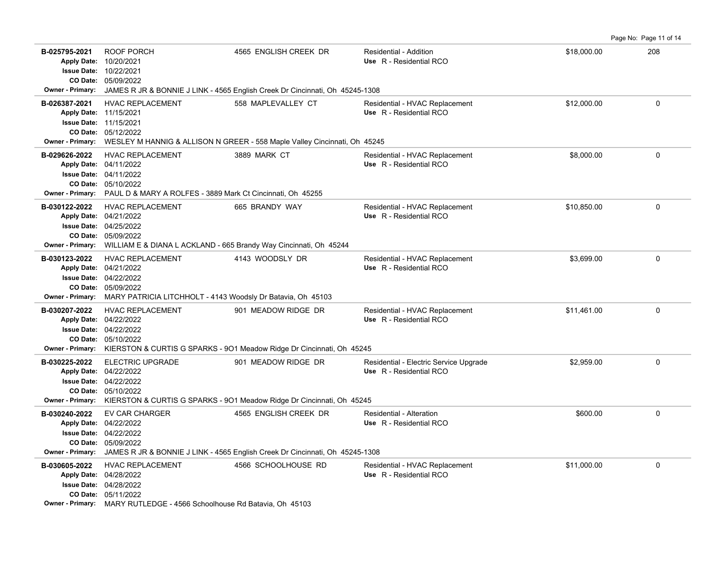**B-025795-2021** \$18,000.00 208 ROOF PORCH 4565 ENGLISH CREEK DR Residential - Addition 05/09/2022 **CO Date:** 10/22/2021 **Issue Date:** Apply Date: 10/20/2021 **Apply Date: Use** R - Residential RCO **Owner - Primary:** JAMES R JR & BONNIE J LINK - 4565 English Creek Dr Cincinnati, Oh 45245-1308 **B-026387-2021** \$12,000.00 0 HVAC REPLACEMENT 558 MAPLEVALLEY CT Residential - HVAC Replacement 05/12/2022 **CO Date: Issue Date: 11/15/2021** 11/15/2021 **Apply Date: Use** R - Residential RCO **Owner - Primary:** WESLEY M HANNIG & ALLISON N GREER - 558 Maple Valley Cincinnati, Oh 45245 **B-029626-2022** HVAC REPLACEMENT 3889 MARK CT Residential - HVAC Replacement \$8,000.00 \$8,000.00 0 0 05/10/2022 **CO Date:** 04/11/2022 **Issue Date:** 04/11/2022 **Apply Date: Use** R - Residential RCO Residential - HVAC Replacement **Owner - Primary:** PAUL D & MARY A ROLFES - 3889 Mark Ct Cincinnati, Oh 45255 B-030122-2022 HVAC REPLACEMENT 665 BRANDY WAY Residential - HVAC Replacement \$10,850.00 \$10,850.00 05/09/2022 **CO Date:** 04/25/2022 **Issue Date:** Apply Date: 04/21/2022 **Apply Date: Use** R - Residential RCO **Owner - Primary:** WILLIAM E & DIANA L ACKLAND - 665 Brandy Way Cincinnati, Oh 45244 B-030123-2022 HVAC REPLACEMENT 4143 WOODSLY DR Residential - HVAC Replacement \$3.699.00 0 0 05/09/2022 **CO Date:** 04/22/2022 **Issue Date:** 04/21/2022 **Apply Date: Use** R - Residential RCO Residential - HVAC Replacement **Owner - Primary:** MARY PATRICIA LITCHHOLT - 4143 Woodsly Dr Batavia, Oh 45103 B-030207-2022 HVAC REPLACEMENT 901 MEADOW RIDGE DR Residential - HVAC Replacement \$11,461.00 \$11,461.00 05/10/2022 **CO Date:** 04/22/2022 **Issue Date:** Apply Date: 04/22/2022 **Apply Date: Use** R - Residential RCO **Owner - Primary:** KIERSTON & CURTIS G SPARKS - 9O1 Meadow Ridge Dr Cincinnati, Oh 45245 **B-030225-2022** ELECTRIC UPGRADE 901 MEADOW RIDGE DR Residential - Electric Service Upgrade \$2,959.00 \$2,959.00 05/10/2022 **CO Date:** 04/22/2022 **Issue Date:** Apply Date: 04/22/2022 **Apply Date: Use** R - Residential RCO **Owner - Primary:** KIERSTON & CURTIS G SPARKS - 9O1 Meadow Ridge Dr Cincinnati, Oh 45245 **B-030240-2022** \$600.00 0 EV CAR CHARGER 4565 ENGLISH CREEK DR Residential - Alteration 05/09/2022 **CO Date:** 04/22/2022 **Issue Date:** 04/22/2022 **Apply Date: Use** R - Residential RCO **Owner - Primary:** JAMES R JR & BONNIE J LINK - 4565 English Creek Dr Cincinnati, Oh 45245-1308 B-030605-2022 HVAC REPLACEMENT 4566 SCHOOLHOUSE RD Residential - HVAC Replacement \$11,000.00 \$11,000.00 0 05/11/2022 **CO Date:** 04/28/2022 **Issue Date:** Apply Date: 04/28/2022 **Apply Date: Use** R - Residential RCO **Owner - Primary:** MARY RUTLEDGE - 4566 Schoolhouse Rd Batavia, Oh 45103

Page No: Page 11 of 14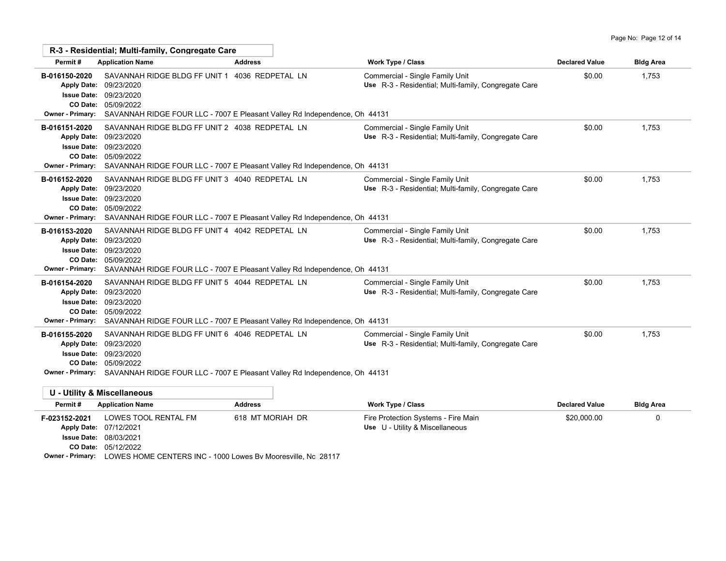|                                                                | R-3 - Residential: Multi-family, Congregate Care                                                                                                                                                                    |                                                                            |                                                                                         |                       |                  |
|----------------------------------------------------------------|---------------------------------------------------------------------------------------------------------------------------------------------------------------------------------------------------------------------|----------------------------------------------------------------------------|-----------------------------------------------------------------------------------------|-----------------------|------------------|
| Permit#                                                        | <b>Application Name</b>                                                                                                                                                                                             | <b>Address</b>                                                             | <b>Work Type / Class</b>                                                                | <b>Declared Value</b> | <b>Bldg Area</b> |
| B-016150-2020<br><b>Issue Date:</b><br><b>Owner - Primary:</b> | SAVANNAH RIDGE BLDG FF UNIT 1 4036 REDPETAL LN<br>Apply Date: 09/23/2020<br>09/23/2020<br>CO Date: 05/09/2022<br>SAVANNAH RIDGE FOUR LLC - 7007 E Pleasant Valley Rd Independence, Oh 44131                         |                                                                            | Commercial - Single Family Unit<br>Use R-3 - Residential; Multi-family, Congregate Care | \$0.00                | 1,753            |
| B-016151-2020<br><b>Owner - Primary:</b>                       | SAVANNAH RIDGE BLDG FF UNIT 2 4038 REDPETAL LN<br>Apply Date: 09/23/2020<br><b>Issue Date: 09/23/2020</b><br>CO Date: 05/09/2022<br>SAVANNAH RIDGE FOUR LLC - 7007 E Pleasant Valley Rd Independence, Oh 44131      |                                                                            | Commercial - Single Family Unit<br>Use R-3 - Residential; Multi-family, Congregate Care | \$0.00                | 1,753            |
| B-016152-2020<br><b>Owner - Primary:</b>                       | SAVANNAH RIDGE BLDG FF UNIT 3 4040 REDPETAL LN<br>Apply Date: 09/23/2020<br><b>Issue Date: 09/23/2020</b><br>CO Date: 05/09/2022<br>SAVANNAH RIDGE FOUR LLC - 7007 E Pleasant Valley Rd Independence, Oh 44131      |                                                                            | Commercial - Single Family Unit<br>Use R-3 - Residential; Multi-family, Congregate Care | \$0.00                | 1,753            |
| B-016153-2020<br><b>Apply Date:</b><br><b>Owner - Primary:</b> | SAVANNAH RIDGE BLDG FF UNIT 4 4042 REDPETAL LN<br>09/23/2020<br><b>Issue Date: 09/23/2020</b><br>CO Date: 05/09/2022                                                                                                | SAVANNAH RIDGE FOUR LLC - 7007 E Pleasant Valley Rd Independence, Oh 44131 | Commercial - Single Family Unit<br>Use R-3 - Residential; Multi-family, Congregate Care | \$0.00                | 1,753            |
| B-016154-2020<br><b>Owner - Primary:</b>                       | SAVANNAH RIDGE BLDG FF UNIT 5 4044 REDPETAL LN<br>Apply Date: 09/23/2020<br><b>Issue Date: 09/23/2020</b><br>CO Date: 05/09/2022<br>SAVANNAH RIDGE FOUR LLC - 7007 E Pleasant Valley Rd Independence, Oh 44131      |                                                                            | Commercial - Single Family Unit<br>Use R-3 - Residential; Multi-family, Congregate Care | \$0.00                | 1,753            |
| B-016155-2020<br><b>Apply Date:</b>                            | SAVANNAH RIDGE BLDG FF UNIT 6 4046 REDPETAL LN<br>09/23/2020<br><b>Issue Date: 09/23/2020</b><br>CO Date: 05/09/2022<br>Owner - Primary: SAVANNAH RIDGE FOUR LLC - 7007 E Pleasant Valley Rd Independence, Oh 44131 |                                                                            | Commercial - Single Family Unit<br>Use R-3 - Residential; Multi-family, Congregate Care | \$0.00                | 1.753            |
|                                                                | <b>U - Utility &amp; Miscellaneous</b>                                                                                                                                                                              |                                                                            |                                                                                         |                       |                  |
|                                                                |                                                                                                                                                                                                                     | $\cdots$                                                                   | $\mathbf{r}$                                                                            |                       |                  |

| Permit#                 | <b>Application Name</b>                                      | <b>Address</b>   | <b>Work Type / Class</b>            | <b>Declared Value</b> | <b>Bldg Area</b> |
|-------------------------|--------------------------------------------------------------|------------------|-------------------------------------|-----------------------|------------------|
| F-023152-2021           | LOWES TOOL RENTAL FM                                         | 618 MT MORIAH DR | Fire Protection Systems - Fire Main | \$20,000.00           |                  |
|                         | Apply Date: 07/12/2021                                       |                  | Use U - Utility & Miscellaneous     |                       |                  |
|                         | <b>Issue Date: 08/03/2021</b>                                |                  |                                     |                       |                  |
|                         | <b>CO Date: 05/12/2022</b>                                   |                  |                                     |                       |                  |
| <b>Owner - Primary:</b> | LOWES HOME CENTERS INC - 1000 Lowes By Mooresville, Nc 28117 |                  |                                     |                       |                  |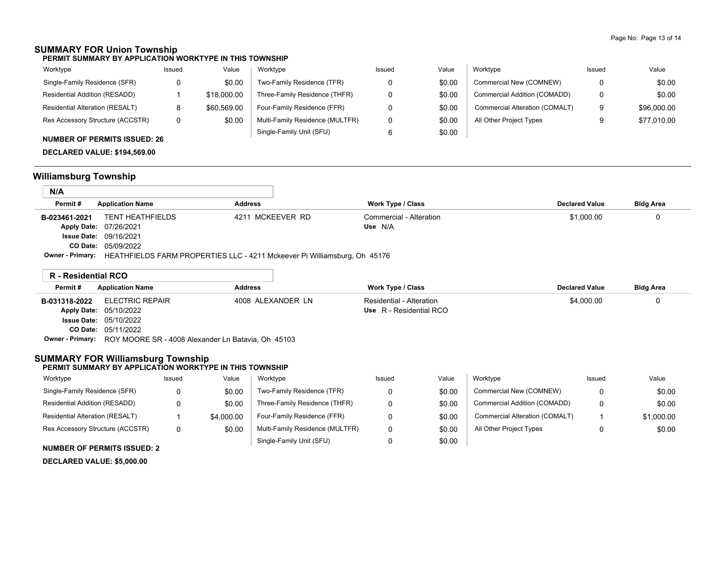## **SUMMARY FOR Union Township**

**PERMIT SUMMARY BY APPLICATION WORKTYPE IN THIS TOWNSHIP**

| Worktype                         | Issued | Value       | Worktype                        | Issued | Value  | Worktype                       | Issued | Value       |
|----------------------------------|--------|-------------|---------------------------------|--------|--------|--------------------------------|--------|-------------|
| Single-Family Residence (SFR)    |        | \$0.00      | Two-Family Residence (TFR)      |        | \$0.00 | Commercial New (COMNEW)        |        | \$0.00      |
| Residential Addition (RESADD)    |        | \$18,000.00 | Three-Family Residence (THFR)   |        | \$0.00 | Commercial Addition (COMADD)   |        | \$0.00      |
| Residential Alteration (RESALT)  |        | \$60,569.00 | Four-Family Residence (FFR)     |        | \$0.00 | Commercial Alteration (COMALT) | 9      | \$96,000.00 |
| Res Accessory Structure (ACCSTR) |        | \$0.00      | Multi-Family Residence (MULTFR) |        | \$0.00 | All Other Project Types        |        | \$77,010.00 |
|                                  |        |             | Single-Family Unit (SFU)        |        | \$0.00 |                                |        |             |

## **NUMBER OF PERMITS ISSUED: 26**

**DECLARED VALUE: \$194,569.00**

# **Williamsburg Township**

| N/A           |                                                                                            |                  |                         |                       |                  |  |
|---------------|--------------------------------------------------------------------------------------------|------------------|-------------------------|-----------------------|------------------|--|
| Permit#       | <b>Application Name</b>                                                                    | <b>Address</b>   | Work Type / Class       | <b>Declared Value</b> | <b>Bldg Area</b> |  |
| B-023461-2021 | <b>TENT HEATHFIELDS</b>                                                                    | 4211 MCKEEVER RD | Commercial - Alteration | \$1,000.00            |                  |  |
|               | Apply Date: 07/26/2021                                                                     |                  | Use N/A                 |                       |                  |  |
|               | <b>Issue Date: 09/16/2021</b>                                                              |                  |                         |                       |                  |  |
|               | <b>CO Date: 05/09/2022</b>                                                                 |                  |                         |                       |                  |  |
|               | Owner - Primary: HEATHFIELDS FARM PROPERTIES LLC - 4211 Mckeever Pi Williamsburg, Oh 45176 |                  |                         |                       |                  |  |

| R - Residential RCO |                                                                     |                   |                          |                       |                  |
|---------------------|---------------------------------------------------------------------|-------------------|--------------------------|-----------------------|------------------|
| Permit#             | <b>Application Name</b>                                             | <b>Address</b>    | Work Type / Class        | <b>Declared Value</b> | <b>Bldg Area</b> |
|                     | <b>B-031318-2022</b> ELECTRIC REPAIR                                | 4008 ALEXANDER LN | Residential - Alteration | \$4.000.00            |                  |
|                     | Apply Date: 05/10/2022                                              |                   | Use R - Residential RCO  |                       |                  |
|                     | <b>Issue Date: 05/10/2022</b>                                       |                   |                          |                       |                  |
|                     | <b>CO Date: 05/11/2022</b>                                          |                   |                          |                       |                  |
|                     | Owner - Primary: ROY MOORE SR - 4008 Alexander Ln Batavia, Oh 45103 |                   |                          |                       |                  |

## **SUMMARY FOR Williamsburg Township**

#### **PERMIT SUMMARY BY APPLICATION WORKTYPE IN THIS TOWNSHIP**

| Worktype                         | Issued | Value      | Worktype                        | Issued | Value  | Worktvpe                       | Issued   | Value      |
|----------------------------------|--------|------------|---------------------------------|--------|--------|--------------------------------|----------|------------|
| Single-Family Residence (SFR)    |        | \$0.00     | Two-Family Residence (TFR)      |        | \$0.00 | Commercial New (COMNEW)        | $\Omega$ | \$0.00     |
| Residential Addition (RESADD)    |        | \$0.00     | Three-Family Residence (THFR)   |        | \$0.00 | Commercial Addition (COMADD)   | 0        | \$0.00     |
| Residential Alteration (RESALT)  |        | \$4,000.00 | Four-Family Residence (FFR)     |        | \$0.00 | Commercial Alteration (COMALT) |          | \$1,000.00 |
| Res Accessory Structure (ACCSTR) | 0      | \$0.00     | Multi-Family Residence (MULTFR) |        | \$0.00 | All Other Project Types        | 0        | \$0.00     |
|                                  |        |            | Single-Family Unit (SFU)        |        | \$0.00 |                                |          |            |

#### **NUMBER OF PERMITS ISSUED: 2**

**DECLARED VALUE: \$5,000.00**